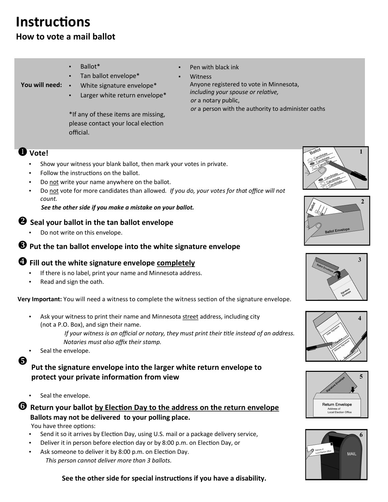# **Instructions**

# **How to vote a mail ballot**

- Ballot\*
	- Tan ballot envelope\*
- **You will need:** White signature envelope\*
	- Larger white return envelope\*

\*If any of these items are missing, please contact your local election official.

Pen with black ink

**Witness** Anyone registered to vote in Minnesota, *including your spouse or relative, or* a notary public,  *or* a person with the authority to administer oaths

## **Vote!**

- Show your witness your blank ballot, then mark your votes in private.
- Follow the instructions on the ballot.
- Do not write your name anywhere on the ballot.
- Do not vote for more candidates than allowed. If you do, your votes for that office will not *count.*

#### *See the other side if you make a mistake on your ballot.*

## **Seal your ballot in the tan ballot envelope**

Do not write on this envelope.

#### $\Theta$  Put the tan ballot envelope into the white signature envelope

## **<sup>** $\bullet$ **</sup>** Fill out the white signature envelope completely

- If there is no label, print your name and Minnesota address.
- Read and sign the oath.

**Very Important:** You will need a witness to complete the witness section of the signature envelope.

- Ask your witness to print their name and Minnesota street address, including city (not a P.O. Box), and sign their name.
	- *If your witness is an official or notary, they must print their title instead of an address. Notaries must also affix their stamp.*
- Seal the envelope.

6

#### **Put the signature envelope into the larger white return envelope to protect your private information from view**

Seal the envelope.

## **C** Return your ballot by Election Day to the address on the return envelope **Ballots may not be delivered to your polling place.**

You have three options:

- Send it so it arrives by Election Day, using U.S. mail or a package delivery service,
- Deliver it in person before election day or by 8:00 p.m. on Election Day, or
- Ask someone to deliver it by 8:00 p.m. on Election Day. *This person cannot deliver more than 3 ballots.*













 **See the other side for special instructions if you have a disability.**